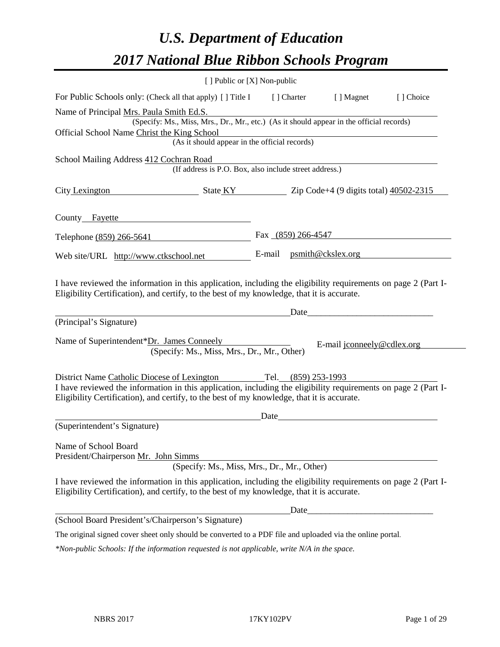# *U.S. Department of Education 2017 National Blue Ribbon Schools Program*

|                                                                                                                                                                                                              | [ ] Public or [X] Non-public                                                             |        |             |                                                                                                                                                                                                                                |           |
|--------------------------------------------------------------------------------------------------------------------------------------------------------------------------------------------------------------|------------------------------------------------------------------------------------------|--------|-------------|--------------------------------------------------------------------------------------------------------------------------------------------------------------------------------------------------------------------------------|-----------|
| For Public Schools only: (Check all that apply) [] Title I                                                                                                                                                   |                                                                                          |        | [ ] Charter | [ ] Magnet                                                                                                                                                                                                                     | [] Choice |
| Name of Principal Mrs. Paula Smith Ed.S.                                                                                                                                                                     |                                                                                          |        |             |                                                                                                                                                                                                                                |           |
|                                                                                                                                                                                                              | (Specify: Ms., Miss, Mrs., Dr., Mr., etc.) (As it should appear in the official records) |        |             |                                                                                                                                                                                                                                |           |
| Official School Name Christ the King School                                                                                                                                                                  | (As it should appear in the official records)                                            |        |             |                                                                                                                                                                                                                                |           |
|                                                                                                                                                                                                              |                                                                                          |        |             |                                                                                                                                                                                                                                |           |
| School Mailing Address 412 Cochran Road                                                                                                                                                                      |                                                                                          |        |             |                                                                                                                                                                                                                                |           |
|                                                                                                                                                                                                              | (If address is P.O. Box, also include street address.)                                   |        |             |                                                                                                                                                                                                                                |           |
| City Lexington State KY State KY 2ip Code+4 (9 digits total) 40502-2315                                                                                                                                      |                                                                                          |        |             |                                                                                                                                                                                                                                |           |
| County Fayette                                                                                                                                                                                               |                                                                                          |        |             |                                                                                                                                                                                                                                |           |
| Telephone (859) 266-5641                                                                                                                                                                                     |                                                                                          |        |             | Fax $(859)$ 266-4547                                                                                                                                                                                                           |           |
| Web site/URL http://www.ctkschool.net                                                                                                                                                                        |                                                                                          | E-mail |             | $p\text{smith@ckslex.org}$                                                                                                                                                                                                     |           |
| (Principal's Signature)                                                                                                                                                                                      |                                                                                          |        |             | Date and the contract of the contract of the contract of the contract of the contract of the contract of the contract of the contract of the contract of the contract of the contract of the contract of the contract of the c |           |
| Name of Superintendent*Dr. James Conneely                                                                                                                                                                    | (Specify: Ms., Miss, Mrs., Dr., Mr., Other)                                              |        |             | E-mail jconneely@cdlex.org                                                                                                                                                                                                     |           |
| District Name Catholic Diocese of Lexington Tel. (859) 253-1993                                                                                                                                              |                                                                                          |        |             |                                                                                                                                                                                                                                |           |
| I have reviewed the information in this application, including the eligibility requirements on page 2 (Part I-<br>Eligibility Certification), and certify, to the best of my knowledge, that it is accurate. |                                                                                          |        |             |                                                                                                                                                                                                                                |           |
|                                                                                                                                                                                                              |                                                                                          | Date   |             |                                                                                                                                                                                                                                |           |
| (Superintendent's Signature)                                                                                                                                                                                 |                                                                                          |        |             |                                                                                                                                                                                                                                |           |
| Name of School Board<br>President/Chairperson Mr. John Simms                                                                                                                                                 | (Specify: Ms., Miss, Mrs., Dr., Mr., Other)                                              |        |             |                                                                                                                                                                                                                                |           |
|                                                                                                                                                                                                              |                                                                                          |        |             |                                                                                                                                                                                                                                |           |
| I have reviewed the information in this application, including the eligibility requirements on page 2 (Part I-<br>Eligibility Certification), and certify, to the best of my knowledge, that it is accurate. |                                                                                          |        |             |                                                                                                                                                                                                                                |           |
|                                                                                                                                                                                                              |                                                                                          |        | Date        |                                                                                                                                                                                                                                |           |
| (School Board President's/Chairperson's Signature)                                                                                                                                                           |                                                                                          |        |             |                                                                                                                                                                                                                                |           |
| The original signed cover sheet only should be converted to a PDF file and uploaded via the online portal.                                                                                                   |                                                                                          |        |             |                                                                                                                                                                                                                                |           |
| *Non-public Schools: If the information requested is not applicable, write N/A in the space.                                                                                                                 |                                                                                          |        |             |                                                                                                                                                                                                                                |           |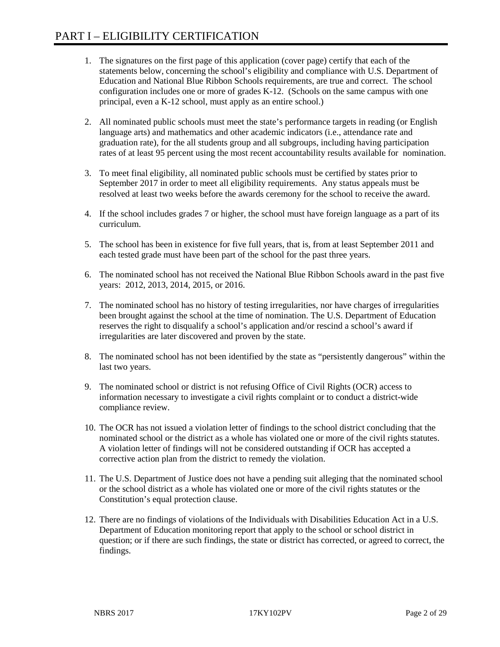- 1. The signatures on the first page of this application (cover page) certify that each of the statements below, concerning the school's eligibility and compliance with U.S. Department of Education and National Blue Ribbon Schools requirements, are true and correct. The school configuration includes one or more of grades K-12. (Schools on the same campus with one principal, even a K-12 school, must apply as an entire school.)
- 2. All nominated public schools must meet the state's performance targets in reading (or English language arts) and mathematics and other academic indicators (i.e., attendance rate and graduation rate), for the all students group and all subgroups, including having participation rates of at least 95 percent using the most recent accountability results available for nomination.
- 3. To meet final eligibility, all nominated public schools must be certified by states prior to September 2017 in order to meet all eligibility requirements. Any status appeals must be resolved at least two weeks before the awards ceremony for the school to receive the award.
- 4. If the school includes grades 7 or higher, the school must have foreign language as a part of its curriculum.
- 5. The school has been in existence for five full years, that is, from at least September 2011 and each tested grade must have been part of the school for the past three years.
- 6. The nominated school has not received the National Blue Ribbon Schools award in the past five years: 2012, 2013, 2014, 2015, or 2016.
- 7. The nominated school has no history of testing irregularities, nor have charges of irregularities been brought against the school at the time of nomination. The U.S. Department of Education reserves the right to disqualify a school's application and/or rescind a school's award if irregularities are later discovered and proven by the state.
- 8. The nominated school has not been identified by the state as "persistently dangerous" within the last two years.
- 9. The nominated school or district is not refusing Office of Civil Rights (OCR) access to information necessary to investigate a civil rights complaint or to conduct a district-wide compliance review.
- 10. The OCR has not issued a violation letter of findings to the school district concluding that the nominated school or the district as a whole has violated one or more of the civil rights statutes. A violation letter of findings will not be considered outstanding if OCR has accepted a corrective action plan from the district to remedy the violation.
- 11. The U.S. Department of Justice does not have a pending suit alleging that the nominated school or the school district as a whole has violated one or more of the civil rights statutes or the Constitution's equal protection clause.
- 12. There are no findings of violations of the Individuals with Disabilities Education Act in a U.S. Department of Education monitoring report that apply to the school or school district in question; or if there are such findings, the state or district has corrected, or agreed to correct, the findings.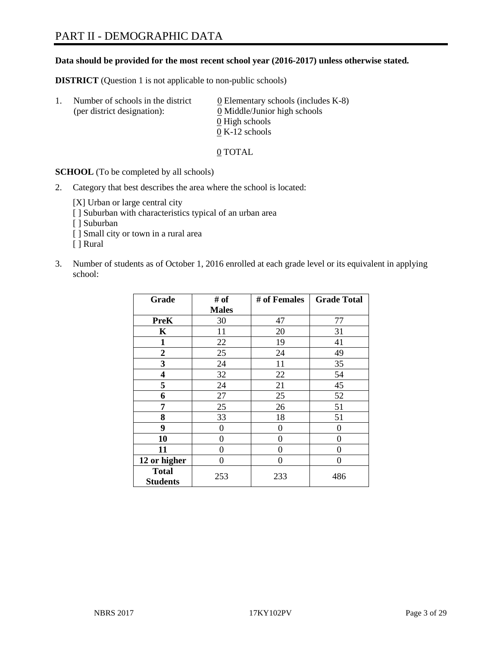#### **Data should be provided for the most recent school year (2016-2017) unless otherwise stated.**

**DISTRICT** (Question 1 is not applicable to non-public schools)

| -1. | Number of schools in the district<br>(per district designation): | $\underline{0}$ Elementary schools (includes K-8)<br>0 Middle/Junior high schools |
|-----|------------------------------------------------------------------|-----------------------------------------------------------------------------------|
|     |                                                                  | 0 High schools                                                                    |
|     |                                                                  | $0 K-12$ schools                                                                  |

0 TOTAL

**SCHOOL** (To be completed by all schools)

2. Category that best describes the area where the school is located:

[X] Urban or large central city [ ] Suburban with characteristics typical of an urban area

[ ] Suburban

- [ ] Small city or town in a rural area
- [ ] Rural
- 3. Number of students as of October 1, 2016 enrolled at each grade level or its equivalent in applying school:

| Grade                           | # of         | # of Females | <b>Grade Total</b> |
|---------------------------------|--------------|--------------|--------------------|
|                                 | <b>Males</b> |              |                    |
| <b>PreK</b>                     | 30           | 47           | 77                 |
| $\mathbf K$                     | 11           | 20           | 31                 |
| $\mathbf{1}$                    | 22           | 19           | 41                 |
| $\overline{2}$                  | 25           | 24           | 49                 |
| 3                               | 24           | 11           | 35                 |
| 4                               | 32           | 22           | 54                 |
| 5                               | 24           | 21           | 45                 |
| 6                               | 27           | 25           | 52                 |
| 7                               | 25           | 26           | 51                 |
| 8                               | 33           | 18           | 51                 |
| 9                               | 0            | $\theta$     | 0                  |
| 10                              | 0            | 0            | 0                  |
| 11                              | 0            | 0            | 0                  |
| 12 or higher                    | 0            | 0            | 0                  |
| <b>Total</b><br><b>Students</b> | 253          | 233          | 486                |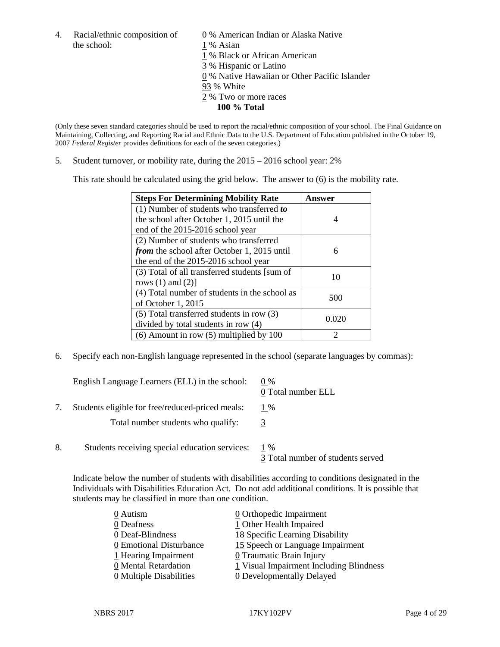the school: 1 % Asian

4. Racial/ethnic composition of  $\qquad 0\%$  American Indian or Alaska Native

- 1 % Black or African American
- 3 % Hispanic or Latino
- 0 % Native Hawaiian or Other Pacific Islander
- 93 % White
- 2 % Two or more races
	- **100 % Total**

(Only these seven standard categories should be used to report the racial/ethnic composition of your school. The Final Guidance on Maintaining, Collecting, and Reporting Racial and Ethnic Data to the U.S. Department of Education published in the October 19, 2007 *Federal Register* provides definitions for each of the seven categories.)

5. Student turnover, or mobility rate, during the 2015 – 2016 school year: 2%

This rate should be calculated using the grid below. The answer to (6) is the mobility rate.

| <b>Steps For Determining Mobility Rate</b>         | Answer |
|----------------------------------------------------|--------|
| $(1)$ Number of students who transferred to        |        |
| the school after October 1, 2015 until the         | 4      |
| end of the 2015-2016 school year                   |        |
| (2) Number of students who transferred             |        |
| <i>from</i> the school after October 1, 2015 until | 6      |
| the end of the 2015-2016 school year               |        |
| (3) Total of all transferred students [sum of      | 10     |
| rows $(1)$ and $(2)$ ]                             |        |
| (4) Total number of students in the school as      | 500    |
| of October 1, 2015                                 |        |
| $(5)$ Total transferred students in row $(3)$      |        |
| divided by total students in row (4)               | 0.020  |
| $(6)$ Amount in row $(5)$ multiplied by 100        | 2      |

6. Specify each non-English language represented in the school (separate languages by commas):

|    | English Language Learners (ELL) in the school:   | $0\%$<br>0 Total number ELL                |
|----|--------------------------------------------------|--------------------------------------------|
|    | Students eligible for free/reduced-priced meals: | 1 %                                        |
|    | Total number students who qualify:               |                                            |
| 8. | Students receiving special education services:   | $1\%$<br>3 Total number of students served |

Indicate below the number of students with disabilities according to conditions designated in the Individuals with Disabilities Education Act. Do not add additional conditions. It is possible that students may be classified in more than one condition.

| 0 Autism                              | 0 Orthopedic Impairment                 |
|---------------------------------------|-----------------------------------------|
| 0 Deafness                            | 1 Other Health Impaired                 |
| 0 Deaf-Blindness                      | 18 Specific Learning Disability         |
| 0 Emotional Disturbance               | 15 Speech or Language Impairment        |
| 1 Hearing Impairment                  | 0 Traumatic Brain Injury                |
| 0 Mental Retardation                  | 1 Visual Impairment Including Blindness |
| $\underline{0}$ Multiple Disabilities | <b>0</b> Developmentally Delayed        |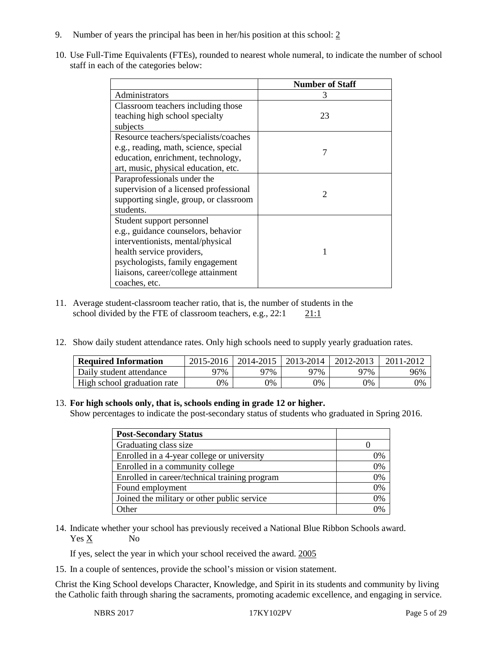- 9. Number of years the principal has been in her/his position at this school: 2
- 10. Use Full-Time Equivalents (FTEs), rounded to nearest whole numeral, to indicate the number of school staff in each of the categories below:

|                                        | <b>Number of Staff</b> |
|----------------------------------------|------------------------|
| Administrators                         | 3                      |
| Classroom teachers including those     |                        |
| teaching high school specialty         | 23                     |
| subjects                               |                        |
| Resource teachers/specialists/coaches  |                        |
| e.g., reading, math, science, special  | 7                      |
| education, enrichment, technology,     |                        |
| art, music, physical education, etc.   |                        |
| Paraprofessionals under the            |                        |
| supervision of a licensed professional | $\mathfrak{D}$         |
| supporting single, group, or classroom |                        |
| students.                              |                        |
| Student support personnel              |                        |
| e.g., guidance counselors, behavior    |                        |
| interventionists, mental/physical      |                        |
| health service providers,              |                        |
| psychologists, family engagement       |                        |
| liaisons, career/college attainment    |                        |
| coaches, etc.                          |                        |

- 11. Average student-classroom teacher ratio, that is, the number of students in the school divided by the FTE of classroom teachers, e.g., 22:1 21:1
- 12. Show daily student attendance rates. Only high schools need to supply yearly graduation rates.

| <b>Required Information</b> | 2015-2016 | 2014-2015   2013-2014 |     | 2012-2013 | 2011-2012 |
|-----------------------------|-----------|-----------------------|-----|-----------|-----------|
| Daily student attendance    | 97%       | 97%                   | 97% | 97%       | 96%       |
| High school graduation rate | 9%        | 0%                    | 0%  | 9%        | 0%        |

#### 13. **For high schools only, that is, schools ending in grade 12 or higher.**

Show percentages to indicate the post-secondary status of students who graduated in Spring 2016.

| <b>Post-Secondary Status</b>                  |    |
|-----------------------------------------------|----|
| Graduating class size                         |    |
| Enrolled in a 4-year college or university    | 0% |
| Enrolled in a community college               | 0% |
| Enrolled in career/technical training program | 0% |
| Found employment                              | 0% |
| Joined the military or other public service   | 0% |
| )ther                                         | 0% |

14. Indicate whether your school has previously received a National Blue Ribbon Schools award. Yes X No

If yes, select the year in which your school received the award. 2005

15. In a couple of sentences, provide the school's mission or vision statement.

Christ the King School develops Character, Knowledge, and Spirit in its students and community by living the Catholic faith through sharing the sacraments, promoting academic excellence, and engaging in service.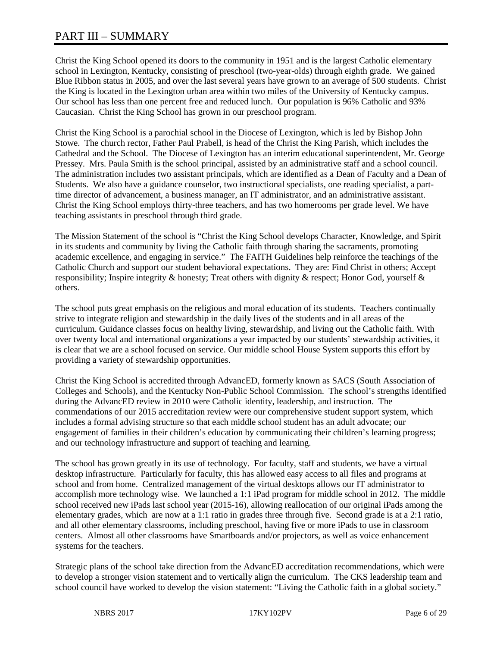## PART III – SUMMARY

Christ the King School opened its doors to the community in 1951 and is the largest Catholic elementary school in Lexington, Kentucky, consisting of preschool (two-year-olds) through eighth grade. We gained Blue Ribbon status in 2005, and over the last several years have grown to an average of 500 students. Christ the King is located in the Lexington urban area within two miles of the University of Kentucky campus. Our school has less than one percent free and reduced lunch. Our population is 96% Catholic and 93% Caucasian. Christ the King School has grown in our preschool program.

Christ the King School is a parochial school in the Diocese of Lexington, which is led by Bishop John Stowe. The church rector, Father Paul Prabell, is head of the Christ the King Parish, which includes the Cathedral and the School. The Diocese of Lexington has an interim educational superintendent, Mr. George Pressey. Mrs. Paula Smith is the school principal, assisted by an administrative staff and a school council. The administration includes two assistant principals, which are identified as a Dean of Faculty and a Dean of Students. We also have a guidance counselor, two instructional specialists, one reading specialist, a parttime director of advancement, a business manager, an IT administrator, and an administrative assistant. Christ the King School employs thirty-three teachers, and has two homerooms per grade level. We have teaching assistants in preschool through third grade.

The Mission Statement of the school is "Christ the King School develops Character, Knowledge, and Spirit in its students and community by living the Catholic faith through sharing the sacraments, promoting academic excellence, and engaging in service." The FAITH Guidelines help reinforce the teachings of the Catholic Church and support our student behavioral expectations. They are: Find Christ in others; Accept responsibility; Inspire integrity & honesty; Treat others with dignity & respect; Honor God, yourself & others.

The school puts great emphasis on the religious and moral education of its students. Teachers continually strive to integrate religion and stewardship in the daily lives of the students and in all areas of the curriculum. Guidance classes focus on healthy living, stewardship, and living out the Catholic faith. With over twenty local and international organizations a year impacted by our students' stewardship activities, it is clear that we are a school focused on service. Our middle school House System supports this effort by providing a variety of stewardship opportunities.

Christ the King School is accredited through AdvancED, formerly known as SACS (South Association of Colleges and Schools), and the Kentucky Non-Public School Commission. The school's strengths identified during the AdvancED review in 2010 were Catholic identity, leadership, and instruction. The commendations of our 2015 accreditation review were our comprehensive student support system, which includes a formal advising structure so that each middle school student has an adult advocate; our engagement of families in their children's education by communicating their children's learning progress; and our technology infrastructure and support of teaching and learning.

The school has grown greatly in its use of technology. For faculty, staff and students, we have a virtual desktop infrastructure. Particularly for faculty, this has allowed easy access to all files and programs at school and from home. Centralized management of the virtual desktops allows our IT administrator to accomplish more technology wise. We launched a 1:1 iPad program for middle school in 2012. The middle school received new iPads last school year (2015-16), allowing reallocation of our original iPads among the elementary grades, which are now at a 1:1 ratio in grades three through five. Second grade is at a 2:1 ratio, and all other elementary classrooms, including preschool, having five or more iPads to use in classroom centers. Almost all other classrooms have Smartboards and/or projectors, as well as voice enhancement systems for the teachers.

Strategic plans of the school take direction from the AdvancED accreditation recommendations, which were to develop a stronger vision statement and to vertically align the curriculum. The CKS leadership team and school council have worked to develop the vision statement: "Living the Catholic faith in a global society."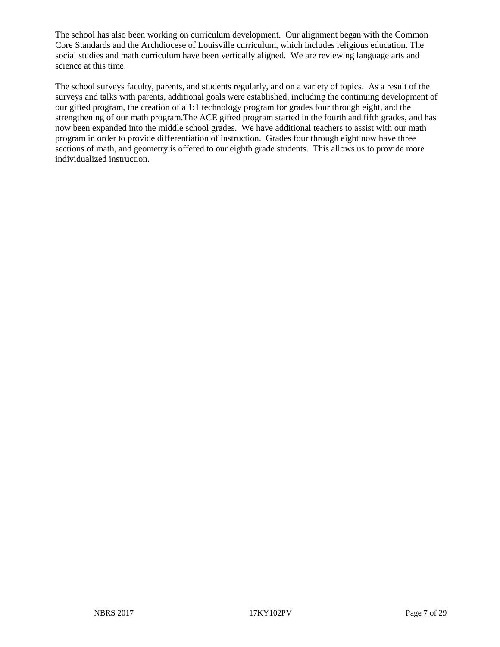The school has also been working on curriculum development. Our alignment began with the Common Core Standards and the Archdiocese of Louisville curriculum, which includes religious education. The social studies and math curriculum have been vertically aligned. We are reviewing language arts and science at this time.

The school surveys faculty, parents, and students regularly, and on a variety of topics. As a result of the surveys and talks with parents, additional goals were established, including the continuing development of our gifted program, the creation of a 1:1 technology program for grades four through eight, and the strengthening of our math program.The ACE gifted program started in the fourth and fifth grades, and has now been expanded into the middle school grades. We have additional teachers to assist with our math program in order to provide differentiation of instruction. Grades four through eight now have three sections of math, and geometry is offered to our eighth grade students. This allows us to provide more individualized instruction.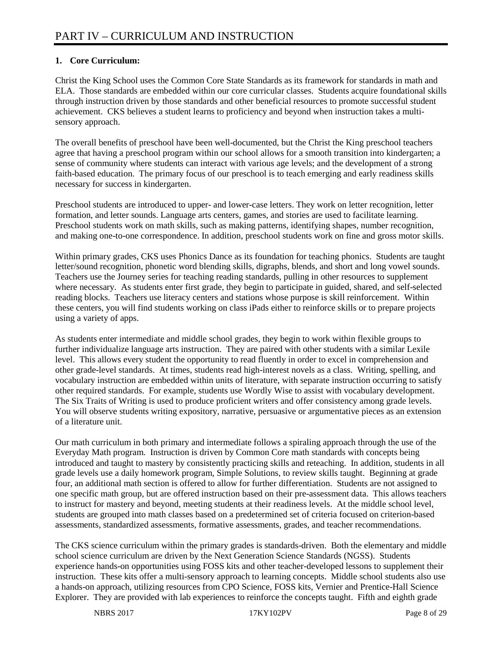### **1. Core Curriculum:**

Christ the King School uses the Common Core State Standards as its framework for standards in math and ELA. Those standards are embedded within our core curricular classes. Students acquire foundational skills through instruction driven by those standards and other beneficial resources to promote successful student achievement. CKS believes a student learns to proficiency and beyond when instruction takes a multisensory approach.

The overall benefits of preschool have been well-documented, but the Christ the King preschool teachers agree that having a preschool program within our school allows for a smooth transition into kindergarten; a sense of community where students can interact with various age levels; and the development of a strong faith-based education. The primary focus of our preschool is to teach emerging and early readiness skills necessary for success in kindergarten.

Preschool students are introduced to upper- and lower-case letters. They work on letter recognition, letter formation, and letter sounds. Language arts centers, games, and stories are used to facilitate learning. Preschool students work on math skills, such as making patterns, identifying shapes, number recognition, and making one-to-one correspondence. In addition, preschool students work on fine and gross motor skills.

Within primary grades, CKS uses Phonics Dance as its foundation for teaching phonics. Students are taught letter/sound recognition, phonetic word blending skills, digraphs, blends, and short and long vowel sounds. Teachers use the Journey series for teaching reading standards, pulling in other resources to supplement where necessary. As students enter first grade, they begin to participate in guided, shared, and self-selected reading blocks. Teachers use literacy centers and stations whose purpose is skill reinforcement. Within these centers, you will find students working on class iPads either to reinforce skills or to prepare projects using a variety of apps.

As students enter intermediate and middle school grades, they begin to work within flexible groups to further individualize language arts instruction. They are paired with other students with a similar Lexile level. This allows every student the opportunity to read fluently in order to excel in comprehension and other grade-level standards. At times, students read high-interest novels as a class. Writing, spelling, and vocabulary instruction are embedded within units of literature, with separate instruction occurring to satisfy other required standards. For example, students use Wordly Wise to assist with vocabulary development. The Six Traits of Writing is used to produce proficient writers and offer consistency among grade levels. You will observe students writing expository, narrative, persuasive or argumentative pieces as an extension of a literature unit.

Our math curriculum in both primary and intermediate follows a spiraling approach through the use of the Everyday Math program. Instruction is driven by Common Core math standards with concepts being introduced and taught to mastery by consistently practicing skills and reteaching. In addition, students in all grade levels use a daily homework program, Simple Solutions, to review skills taught. Beginning at grade four, an additional math section is offered to allow for further differentiation. Students are not assigned to one specific math group, but are offered instruction based on their pre-assessment data. This allows teachers to instruct for mastery and beyond, meeting students at their readiness levels. At the middle school level, students are grouped into math classes based on a predetermined set of criteria focused on criterion-based assessments, standardized assessments, formative assessments, grades, and teacher recommendations.

The CKS science curriculum within the primary grades is standards-driven. Both the elementary and middle school science curriculum are driven by the Next Generation Science Standards (NGSS). Students experience hands-on opportunities using FOSS kits and other teacher-developed lessons to supplement their instruction. These kits offer a multi-sensory approach to learning concepts. Middle school students also use a hands-on approach, utilizing resources from CPO Science, FOSS kits, Vernier and Prentice-Hall Science Explorer. They are provided with lab experiences to reinforce the concepts taught. Fifth and eighth grade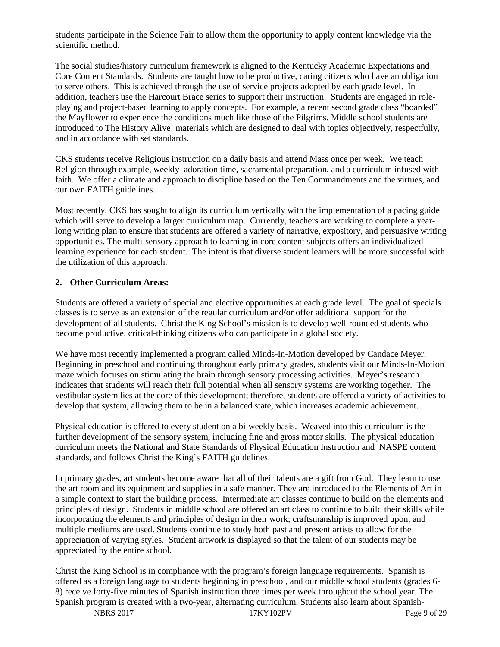students participate in the Science Fair to allow them the opportunity to apply content knowledge via the scientific method.

The social studies/history curriculum framework is aligned to the Kentucky Academic Expectations and Core Content Standards. Students are taught how to be productive, caring citizens who have an obligation to serve others. This is achieved through the use of service projects adopted by each grade level. In addition, teachers use the Harcourt Brace series to support their instruction. Students are engaged in roleplaying and project-based learning to apply concepts. For example, a recent second grade class "boarded" the Mayflower to experience the conditions much like those of the Pilgrims. Middle school students are introduced to The History Alive! materials which are designed to deal with topics objectively, respectfully, and in accordance with set standards.

CKS students receive Religious instruction on a daily basis and attend Mass once per week. We teach Religion through example, weekly adoration time, sacramental preparation, and a curriculum infused with faith. We offer a climate and approach to discipline based on the Ten Commandments and the virtues, and our own FAITH guidelines.

Most recently, CKS has sought to align its curriculum vertically with the implementation of a pacing guide which will serve to develop a larger curriculum map. Currently, teachers are working to complete a yearlong writing plan to ensure that students are offered a variety of narrative, expository, and persuasive writing opportunities. The multi-sensory approach to learning in core content subjects offers an individualized learning experience for each student. The intent is that diverse student learners will be more successful with the utilization of this approach.

#### **2. Other Curriculum Areas:**

Students are offered a variety of special and elective opportunities at each grade level. The goal of specials classes is to serve as an extension of the regular curriculum and/or offer additional support for the development of all students. Christ the King School's mission is to develop well-rounded students who become productive, critical-thinking citizens who can participate in a global society.

We have most recently implemented a program called Minds-In-Motion developed by Candace Meyer. Beginning in preschool and continuing throughout early primary grades, students visit our Minds-In-Motion maze which focuses on stimulating the brain through sensory processing activities. Meyer's research indicates that students will reach their full potential when all sensory systems are working together. The vestibular system lies at the core of this development; therefore, students are offered a variety of activities to develop that system, allowing them to be in a balanced state, which increases academic achievement.

Physical education is offered to every student on a bi-weekly basis. Weaved into this curriculum is the further development of the sensory system, including fine and gross motor skills. The physical education curriculum meets the National and State Standards of Physical Education Instruction and NASPE content standards, and follows Christ the King's FAITH guidelines.

In primary grades, art students become aware that all of their talents are a gift from God. They learn to use the art room and its equipment and supplies in a safe manner. They are introduced to the Elements of Art in a simple context to start the building process. Intermediate art classes continue to build on the elements and principles of design. Students in middle school are offered an art class to continue to build their skills while incorporating the elements and principles of design in their work; craftsmanship is improved upon, and multiple mediums are used. Students continue to study both past and present artists to allow for the appreciation of varying styles. Student artwork is displayed so that the talent of our students may be appreciated by the entire school.

Christ the King School is in compliance with the program's foreign language requirements. Spanish is offered as a foreign language to students beginning in preschool, and our middle school students (grades 6- 8) receive forty-five minutes of Spanish instruction three times per week throughout the school year. The Spanish program is created with a two-year, alternating curriculum. Students also learn about Spanish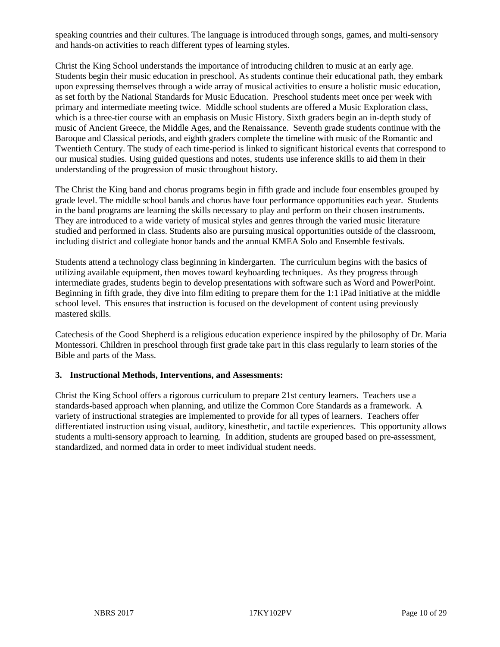speaking countries and their cultures. The language is introduced through songs, games, and multi-sensory and hands-on activities to reach different types of learning styles.

Christ the King School understands the importance of introducing children to music at an early age. Students begin their music education in preschool. As students continue their educational path, they embark upon expressing themselves through a wide array of musical activities to ensure a holistic music education, as set forth by the National Standards for Music Education. Preschool students meet once per week with primary and intermediate meeting twice. Middle school students are offered a Music Exploration class, which is a three-tier course with an emphasis on Music History. Sixth graders begin an in-depth study of music of Ancient Greece, the Middle Ages, and the Renaissance. Seventh grade students continue with the Baroque and Classical periods, and eighth graders complete the timeline with music of the Romantic and Twentieth Century. The study of each time-period is linked to significant historical events that correspond to our musical studies. Using guided questions and notes, students use inference skills to aid them in their understanding of the progression of music throughout history.

The Christ the King band and chorus programs begin in fifth grade and include four ensembles grouped by grade level. The middle school bands and chorus have four performance opportunities each year. Students in the band programs are learning the skills necessary to play and perform on their chosen instruments. They are introduced to a wide variety of musical styles and genres through the varied music literature studied and performed in class. Students also are pursuing musical opportunities outside of the classroom, including district and collegiate honor bands and the annual KMEA Solo and Ensemble festivals.

Students attend a technology class beginning in kindergarten. The curriculum begins with the basics of utilizing available equipment, then moves toward keyboarding techniques. As they progress through intermediate grades, students begin to develop presentations with software such as Word and PowerPoint. Beginning in fifth grade, they dive into film editing to prepare them for the 1:1 iPad initiative at the middle school level. This ensures that instruction is focused on the development of content using previously mastered skills.

Catechesis of the Good Shepherd is a religious education experience inspired by the philosophy of Dr. Maria Montessori. Children in preschool through first grade take part in this class regularly to learn stories of the Bible and parts of the Mass.

#### **3. Instructional Methods, Interventions, and Assessments:**

Christ the King School offers a rigorous curriculum to prepare 21st century learners. Teachers use a standards-based approach when planning, and utilize the Common Core Standards as a framework. A variety of instructional strategies are implemented to provide for all types of learners. Teachers offer differentiated instruction using visual, auditory, kinesthetic, and tactile experiences. This opportunity allows students a multi-sensory approach to learning. In addition, students are grouped based on pre-assessment, standardized, and normed data in order to meet individual student needs.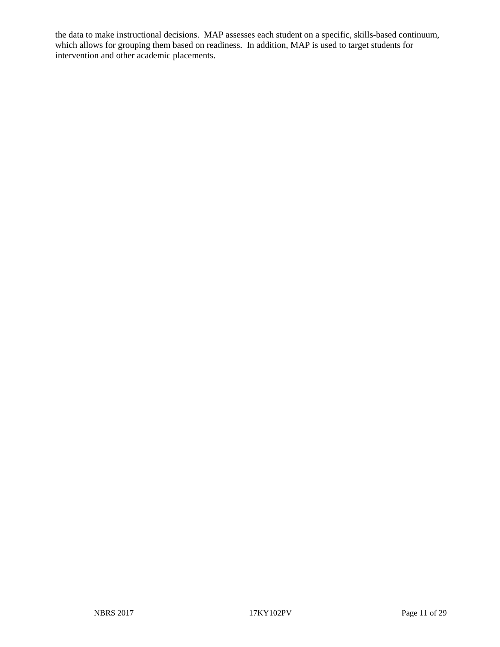the data to make instructional decisions. MAP assesses each student on a specific, skills-based continuum, which allows for grouping them based on readiness. In addition, MAP is used to target students for intervention and other academic placements.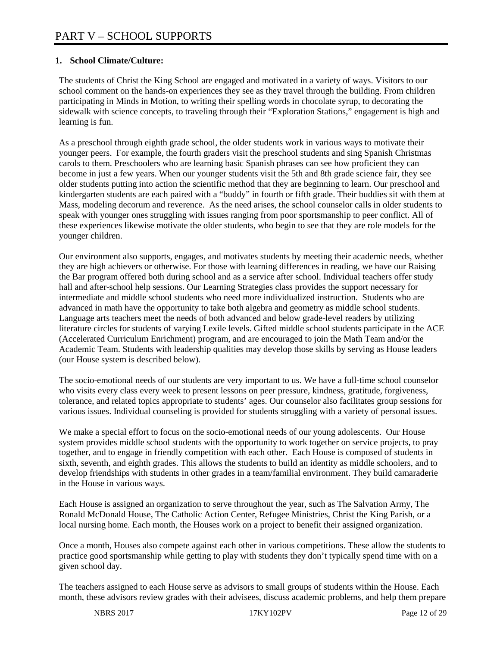#### **1. School Climate/Culture:**

The students of Christ the King School are engaged and motivated in a variety of ways. Visitors to our school comment on the hands-on experiences they see as they travel through the building. From children participating in Minds in Motion, to writing their spelling words in chocolate syrup, to decorating the sidewalk with science concepts, to traveling through their "Exploration Stations," engagement is high and learning is fun.

As a preschool through eighth grade school, the older students work in various ways to motivate their younger peers. For example, the fourth graders visit the preschool students and sing Spanish Christmas carols to them. Preschoolers who are learning basic Spanish phrases can see how proficient they can become in just a few years. When our younger students visit the 5th and 8th grade science fair, they see older students putting into action the scientific method that they are beginning to learn. Our preschool and kindergarten students are each paired with a "buddy" in fourth or fifth grade. Their buddies sit with them at Mass, modeling decorum and reverence. As the need arises, the school counselor calls in older students to speak with younger ones struggling with issues ranging from poor sportsmanship to peer conflict. All of these experiences likewise motivate the older students, who begin to see that they are role models for the younger children.

Our environment also supports, engages, and motivates students by meeting their academic needs, whether they are high achievers or otherwise. For those with learning differences in reading, we have our Raising the Bar program offered both during school and as a service after school. Individual teachers offer study hall and after-school help sessions. Our Learning Strategies class provides the support necessary for intermediate and middle school students who need more individualized instruction. Students who are advanced in math have the opportunity to take both algebra and geometry as middle school students. Language arts teachers meet the needs of both advanced and below grade-level readers by utilizing literature circles for students of varying Lexile levels. Gifted middle school students participate in the ACE (Accelerated Curriculum Enrichment) program, and are encouraged to join the Math Team and/or the Academic Team. Students with leadership qualities may develop those skills by serving as House leaders (our House system is described below).

The socio-emotional needs of our students are very important to us. We have a full-time school counselor who visits every class every week to present lessons on peer pressure, kindness, gratitude, forgiveness, tolerance, and related topics appropriate to students' ages. Our counselor also facilitates group sessions for various issues. Individual counseling is provided for students struggling with a variety of personal issues.

We make a special effort to focus on the socio-emotional needs of our young adolescents. Our House system provides middle school students with the opportunity to work together on service projects, to pray together, and to engage in friendly competition with each other. Each House is composed of students in sixth, seventh, and eighth grades. This allows the students to build an identity as middle schoolers, and to develop friendships with students in other grades in a team/familial environment. They build camaraderie in the House in various ways.

Each House is assigned an organization to serve throughout the year, such as The Salvation Army, The Ronald McDonald House, The Catholic Action Center, Refugee Ministries, Christ the King Parish, or a local nursing home. Each month, the Houses work on a project to benefit their assigned organization.

Once a month, Houses also compete against each other in various competitions. These allow the students to practice good sportsmanship while getting to play with students they don't typically spend time with on a given school day.

The teachers assigned to each House serve as advisors to small groups of students within the House. Each month, these advisors review grades with their advisees, discuss academic problems, and help them prepare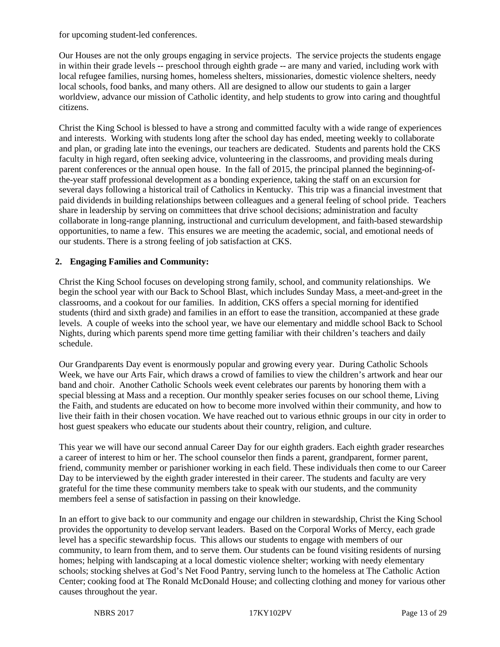for upcoming student-led conferences.

Our Houses are not the only groups engaging in service projects. The service projects the students engage in within their grade levels -- preschool through eighth grade -- are many and varied, including work with local refugee families, nursing homes, homeless shelters, missionaries, domestic violence shelters, needy local schools, food banks, and many others. All are designed to allow our students to gain a larger worldview, advance our mission of Catholic identity, and help students to grow into caring and thoughtful citizens.

Christ the King School is blessed to have a strong and committed faculty with a wide range of experiences and interests. Working with students long after the school day has ended, meeting weekly to collaborate and plan, or grading late into the evenings, our teachers are dedicated. Students and parents hold the CKS faculty in high regard, often seeking advice, volunteering in the classrooms, and providing meals during parent conferences or the annual open house. In the fall of 2015, the principal planned the beginning-ofthe-year staff professional development as a bonding experience, taking the staff on an excursion for several days following a historical trail of Catholics in Kentucky. This trip was a financial investment that paid dividends in building relationships between colleagues and a general feeling of school pride. Teachers share in leadership by serving on committees that drive school decisions; administration and faculty collaborate in long-range planning, instructional and curriculum development, and faith-based stewardship opportunities, to name a few. This ensures we are meeting the academic, social, and emotional needs of our students. There is a strong feeling of job satisfaction at CKS.

#### **2. Engaging Families and Community:**

Christ the King School focuses on developing strong family, school, and community relationships. We begin the school year with our Back to School Blast, which includes Sunday Mass, a meet-and-greet in the classrooms, and a cookout for our families. In addition, CKS offers a special morning for identified students (third and sixth grade) and families in an effort to ease the transition, accompanied at these grade levels. A couple of weeks into the school year, we have our elementary and middle school Back to School Nights, during which parents spend more time getting familiar with their children's teachers and daily schedule.

Our Grandparents Day event is enormously popular and growing every year. During Catholic Schools Week, we have our Arts Fair, which draws a crowd of families to view the children's artwork and hear our band and choir. Another Catholic Schools week event celebrates our parents by honoring them with a special blessing at Mass and a reception. Our monthly speaker series focuses on our school theme, Living the Faith, and students are educated on how to become more involved within their community, and how to live their faith in their chosen vocation. We have reached out to various ethnic groups in our city in order to host guest speakers who educate our students about their country, religion, and culture.

This year we will have our second annual Career Day for our eighth graders. Each eighth grader researches a career of interest to him or her. The school counselor then finds a parent, grandparent, former parent, friend, community member or parishioner working in each field. These individuals then come to our Career Day to be interviewed by the eighth grader interested in their career. The students and faculty are very grateful for the time these community members take to speak with our students, and the community members feel a sense of satisfaction in passing on their knowledge.

In an effort to give back to our community and engage our children in stewardship, Christ the King School provides the opportunity to develop servant leaders. Based on the Corporal Works of Mercy, each grade level has a specific stewardship focus. This allows our students to engage with members of our community, to learn from them, and to serve them. Our students can be found visiting residents of nursing homes; helping with landscaping at a local domestic violence shelter; working with needy elementary schools; stocking shelves at God's Net Food Pantry, serving lunch to the homeless at The Catholic Action Center; cooking food at The Ronald McDonald House; and collecting clothing and money for various other causes throughout the year.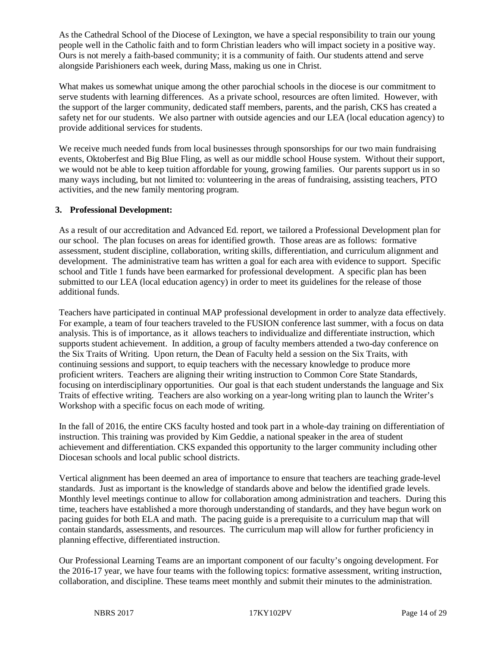As the Cathedral School of the Diocese of Lexington, we have a special responsibility to train our young people well in the Catholic faith and to form Christian leaders who will impact society in a positive way. Ours is not merely a faith-based community; it is a community of faith. Our students attend and serve alongside Parishioners each week, during Mass, making us one in Christ.

What makes us somewhat unique among the other parochial schools in the diocese is our commitment to serve students with learning differences. As a private school, resources are often limited. However, with the support of the larger community, dedicated staff members, parents, and the parish, CKS has created a safety net for our students. We also partner with outside agencies and our LEA (local education agency) to provide additional services for students.

We receive much needed funds from local businesses through sponsorships for our two main fundraising events, Oktoberfest and Big Blue Fling, as well as our middle school House system. Without their support, we would not be able to keep tuition affordable for young, growing families. Our parents support us in so many ways including, but not limited to: volunteering in the areas of fundraising, assisting teachers, PTO activities, and the new family mentoring program.

#### **3. Professional Development:**

As a result of our accreditation and Advanced Ed. report, we tailored a Professional Development plan for our school. The plan focuses on areas for identified growth. Those areas are as follows: formative assessment, student discipline, collaboration, writing skills, differentiation, and curriculum alignment and development. The administrative team has written a goal for each area with evidence to support. Specific school and Title 1 funds have been earmarked for professional development. A specific plan has been submitted to our LEA (local education agency) in order to meet its guidelines for the release of those additional funds.

Teachers have participated in continual MAP professional development in order to analyze data effectively. For example, a team of four teachers traveled to the FUSION conference last summer, with a focus on data analysis. This is of importance, as it allows teachers to individualize and differentiate instruction, which supports student achievement. In addition, a group of faculty members attended a two-day conference on the Six Traits of Writing. Upon return, the Dean of Faculty held a session on the Six Traits, with continuing sessions and support, to equip teachers with the necessary knowledge to produce more proficient writers. Teachers are aligning their writing instruction to Common Core State Standards, focusing on interdisciplinary opportunities. Our goal is that each student understands the language and Six Traits of effective writing. Teachers are also working on a year-long writing plan to launch the Writer's Workshop with a specific focus on each mode of writing.

In the fall of 2016, the entire CKS faculty hosted and took part in a whole-day training on differentiation of instruction. This training was provided by Kim Geddie, a national speaker in the area of student achievement and differentiation. CKS expanded this opportunity to the larger community including other Diocesan schools and local public school districts.

Vertical alignment has been deemed an area of importance to ensure that teachers are teaching grade-level standards. Just as important is the knowledge of standards above and below the identified grade levels. Monthly level meetings continue to allow for collaboration among administration and teachers. During this time, teachers have established a more thorough understanding of standards, and they have begun work on pacing guides for both ELA and math. The pacing guide is a prerequisite to a curriculum map that will contain standards, assessments, and resources. The curriculum map will allow for further proficiency in planning effective, differentiated instruction.

Our Professional Learning Teams are an important component of our faculty's ongoing development. For the 2016-17 year, we have four teams with the following topics: formative assessment, writing instruction, collaboration, and discipline. These teams meet monthly and submit their minutes to the administration.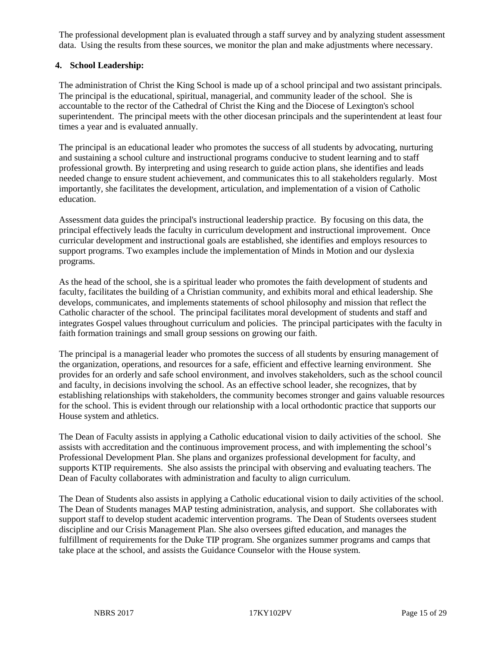The professional development plan is evaluated through a staff survey and by analyzing student assessment data. Using the results from these sources, we monitor the plan and make adjustments where necessary.

#### **4. School Leadership:**

The administration of Christ the King School is made up of a school principal and two assistant principals. The principal is the educational, spiritual, managerial, and community leader of the school. She is accountable to the rector of the Cathedral of Christ the King and the Diocese of Lexington's school superintendent. The principal meets with the other diocesan principals and the superintendent at least four times a year and is evaluated annually.

The principal is an educational leader who promotes the success of all students by advocating, nurturing and sustaining a school culture and instructional programs conducive to student learning and to staff professional growth. By interpreting and using research to guide action plans, she identifies and leads needed change to ensure student achievement, and communicates this to all stakeholders regularly. Most importantly, she facilitates the development, articulation, and implementation of a vision of Catholic education.

Assessment data guides the principal's instructional leadership practice. By focusing on this data, the principal effectively leads the faculty in curriculum development and instructional improvement. Once curricular development and instructional goals are established, she identifies and employs resources to support programs. Two examples include the implementation of Minds in Motion and our dyslexia programs.

As the head of the school, she is a spiritual leader who promotes the faith development of students and faculty, facilitates the building of a Christian community, and exhibits moral and ethical leadership. She develops, communicates, and implements statements of school philosophy and mission that reflect the Catholic character of the school. The principal facilitates moral development of students and staff and integrates Gospel values throughout curriculum and policies. The principal participates with the faculty in faith formation trainings and small group sessions on growing our faith.

The principal is a managerial leader who promotes the success of all students by ensuring management of the organization, operations, and resources for a safe, efficient and effective learning environment. She provides for an orderly and safe school environment, and involves stakeholders, such as the school council and faculty, in decisions involving the school. As an effective school leader, she recognizes, that by establishing relationships with stakeholders, the community becomes stronger and gains valuable resources for the school. This is evident through our relationship with a local orthodontic practice that supports our House system and athletics.

The Dean of Faculty assists in applying a Catholic educational vision to daily activities of the school. She assists with accreditation and the continuous improvement process, and with implementing the school's Professional Development Plan. She plans and organizes professional development for faculty, and supports KTIP requirements. She also assists the principal with observing and evaluating teachers. The Dean of Faculty collaborates with administration and faculty to align curriculum.

The Dean of Students also assists in applying a Catholic educational vision to daily activities of the school. The Dean of Students manages MAP testing administration, analysis, and support. She collaborates with support staff to develop student academic intervention programs. The Dean of Students oversees student discipline and our Crisis Management Plan. She also oversees gifted education, and manages the fulfillment of requirements for the Duke TIP program. She organizes summer programs and camps that take place at the school, and assists the Guidance Counselor with the House system.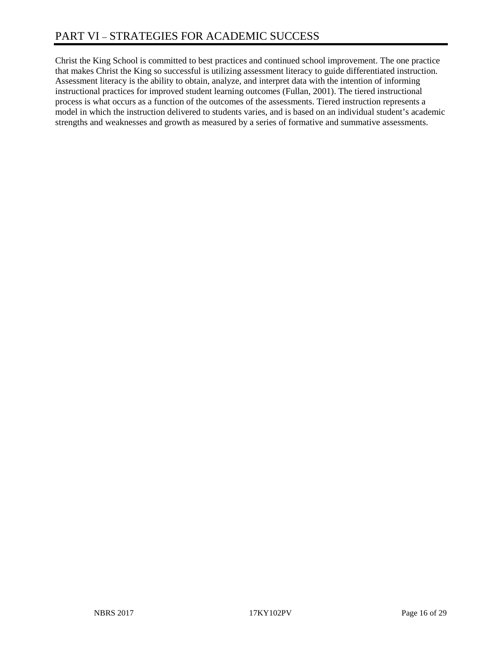Christ the King School is committed to best practices and continued school improvement. The one practice that makes Christ the King so successful is utilizing assessment literacy to guide differentiated instruction. Assessment literacy is the ability to obtain, analyze, and interpret data with the intention of informing instructional practices for improved student learning outcomes (Fullan, 2001). The tiered instructional process is what occurs as a function of the outcomes of the assessments. Tiered instruction represents a model in which the instruction delivered to students varies, and is based on an individual student's academic strengths and weaknesses and growth as measured by a series of formative and summative assessments.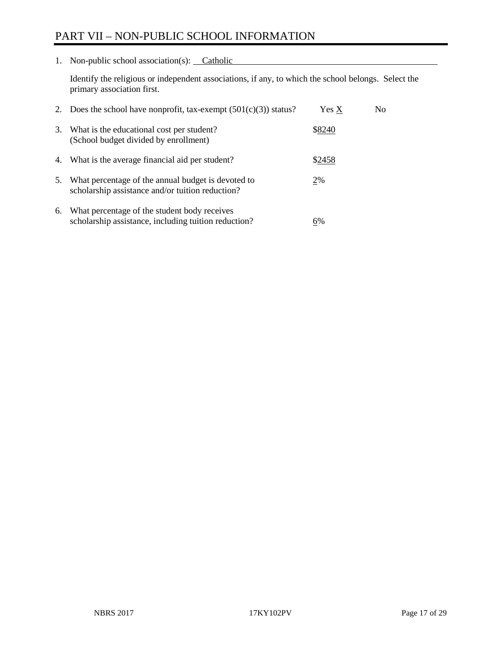## PART VII – NON-PUBLIC SCHOOL INFORMATION

1. Non-public school association(s): Catholic

Identify the religious or independent associations, if any, to which the school belongs. Select the primary association first.

| 2. | Does the school have nonprofit, tax-exempt $(501(c)(3))$ status?                                       | Yes X  | No. |
|----|--------------------------------------------------------------------------------------------------------|--------|-----|
| 3. | What is the educational cost per student?<br>(School budget divided by enrollment)                     | \$8240 |     |
| 4. | What is the average financial aid per student?                                                         | \$2458 |     |
| 5. | What percentage of the annual budget is devoted to<br>scholarship assistance and/or tuition reduction? | 2%     |     |
| 6. | What percentage of the student body receives<br>scholarship assistance, including tuition reduction?   | 6%     |     |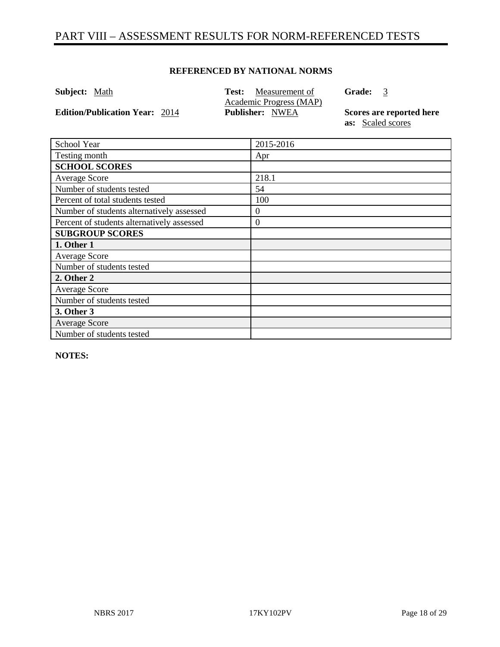## PART VIII – ASSESSMENT RESULTS FOR NORM-REFERENCED TESTS

#### **REFERENCED BY NATIONAL NORMS**

| <b>Subject:</b> Math                  | <b>Test:</b> Measurement of<br>Academic Progress (MAP) | <b>Grade:</b><br>3                            |
|---------------------------------------|--------------------------------------------------------|-----------------------------------------------|
| <b>Edition/Publication Year: 2014</b> | <b>Publisher: NWEA</b>                                 | Scores are reported here<br>as: Scaled scores |
| $\sim$ 1<br>$\mathbf{1}$ $\mathbf{v}$ | 0.0150012                                              |                                               |

| School Year                                | 2015-2016        |
|--------------------------------------------|------------------|
| Testing month                              | Apr              |
| <b>SCHOOL SCORES</b>                       |                  |
| Average Score                              | 218.1            |
| Number of students tested                  | 54               |
| Percent of total students tested           | 100              |
| Number of students alternatively assessed  | $\boldsymbol{0}$ |
| Percent of students alternatively assessed | $\boldsymbol{0}$ |
| <b>SUBGROUP SCORES</b>                     |                  |
| 1. Other 1                                 |                  |
| <b>Average Score</b>                       |                  |
| Number of students tested                  |                  |
| 2. Other 2                                 |                  |
| Average Score                              |                  |
| Number of students tested                  |                  |
| 3. Other 3                                 |                  |
| <b>Average Score</b>                       |                  |
| Number of students tested                  |                  |

**NOTES:** 

 $\overline{\phantom{0}}$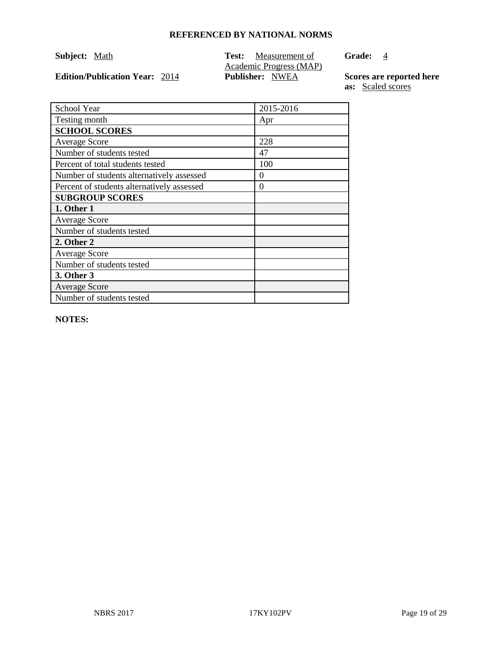**Edition/Publication Year:**  $2014$ 

**Subject:** <u>Math</u> **Test:** <u>Measurement of</u> Academic Progress (MAP)<br>Publisher: NWEA Grade: 4

**Scores are reported here**<br>**as:** <u>Scaled scores</u>

| School Year                                | 2015-2016 |
|--------------------------------------------|-----------|
| Testing month                              | Apr       |
| <b>SCHOOL SCORES</b>                       |           |
| <b>Average Score</b>                       | 228       |
| Number of students tested                  | 47        |
| Percent of total students tested           | 100       |
| Number of students alternatively assessed  | $\Omega$  |
| Percent of students alternatively assessed | $\theta$  |
| <b>SUBGROUP SCORES</b>                     |           |
| 1. Other 1                                 |           |
| <b>Average Score</b>                       |           |
| Number of students tested                  |           |
| 2. Other 2                                 |           |
| <b>Average Score</b>                       |           |
| Number of students tested                  |           |
| 3. Other 3                                 |           |
| <b>Average Score</b>                       |           |
| Number of students tested                  |           |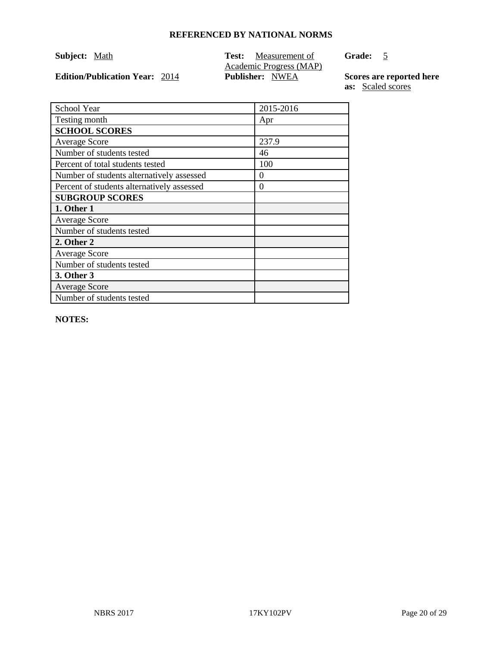**Edition/Publication Year:**  $2014$ 

**Subject:** <u>Math</u> **Test:** <u>Measurement of</u> Academic Progress (MAP)<br>Publisher: NWEA Grade: 5

**Scores are reported here**<br>**as:** <u>Scaled scores</u>

| School Year                                | 2015-2016 |
|--------------------------------------------|-----------|
| Testing month                              | Apr       |
| <b>SCHOOL SCORES</b>                       |           |
| <b>Average Score</b>                       | 237.9     |
| Number of students tested                  | 46        |
| Percent of total students tested           | 100       |
| Number of students alternatively assessed  | $\Omega$  |
| Percent of students alternatively assessed | $\Omega$  |
| <b>SUBGROUP SCORES</b>                     |           |
| 1. Other 1                                 |           |
| <b>Average Score</b>                       |           |
| Number of students tested                  |           |
| 2. Other 2                                 |           |
| <b>Average Score</b>                       |           |
| Number of students tested                  |           |
| 3. Other 3                                 |           |
| <b>Average Score</b>                       |           |
| Number of students tested                  |           |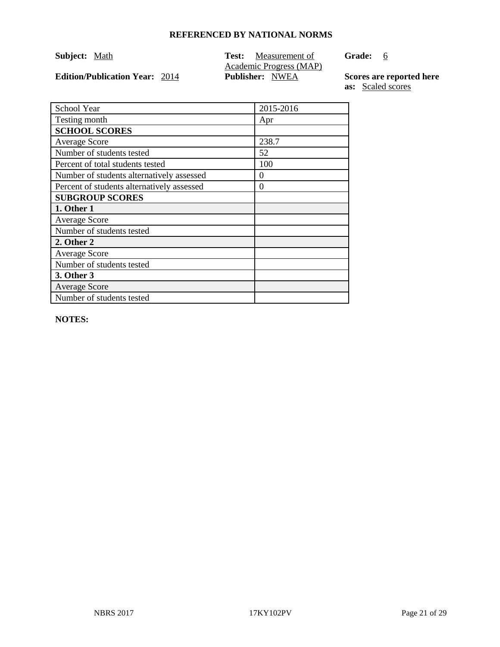**Edition/Publication Year:**  $2014$ 

**Subject:** <u>Math</u> **Test:** <u>Measurement of</u> Academic Progress (MAP)<br>Publisher: NWEA **Grade:** 6

**Scores are reported here**<br>**as:** <u>Scaled scores</u>

| School Year                                | 2015-2016 |
|--------------------------------------------|-----------|
| Testing month                              | Apr       |
| <b>SCHOOL SCORES</b>                       |           |
| <b>Average Score</b>                       | 238.7     |
| Number of students tested                  | 52        |
| Percent of total students tested           | 100       |
| Number of students alternatively assessed  | $\Omega$  |
| Percent of students alternatively assessed | $\Omega$  |
| <b>SUBGROUP SCORES</b>                     |           |
| 1. Other 1                                 |           |
| <b>Average Score</b>                       |           |
| Number of students tested                  |           |
| 2. Other 2                                 |           |
| <b>Average Score</b>                       |           |
| Number of students tested                  |           |
| 3. Other 3                                 |           |
| <b>Average Score</b>                       |           |
| Number of students tested                  |           |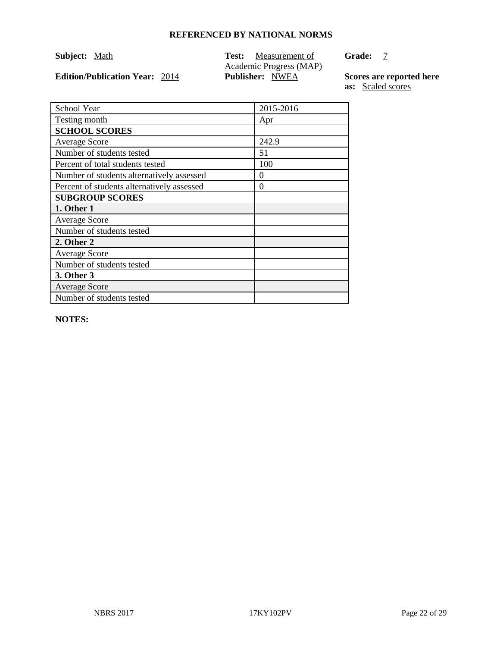**Edition/Publication Year:**  $2014$ 

**Subject:** <u>Math</u> **Test:** <u>Measurement of</u> Academic Progress (MAP)<br>Publisher: NWEA **Grade:** 7

**Scores are reported here**<br>**as:** <u>Scaled scores</u>

| School Year                                | 2015-2016 |
|--------------------------------------------|-----------|
| Testing month                              | Apr       |
| <b>SCHOOL SCORES</b>                       |           |
| <b>Average Score</b>                       | 242.9     |
| Number of students tested                  | 51        |
| Percent of total students tested           | 100       |
| Number of students alternatively assessed  | $\Omega$  |
| Percent of students alternatively assessed | $\Omega$  |
| <b>SUBGROUP SCORES</b>                     |           |
| 1. Other 1                                 |           |
| <b>Average Score</b>                       |           |
| Number of students tested                  |           |
| 2. Other 2                                 |           |
| <b>Average Score</b>                       |           |
| Number of students tested                  |           |
| 3. Other 3                                 |           |
| <b>Average Score</b>                       |           |
| Number of students tested                  |           |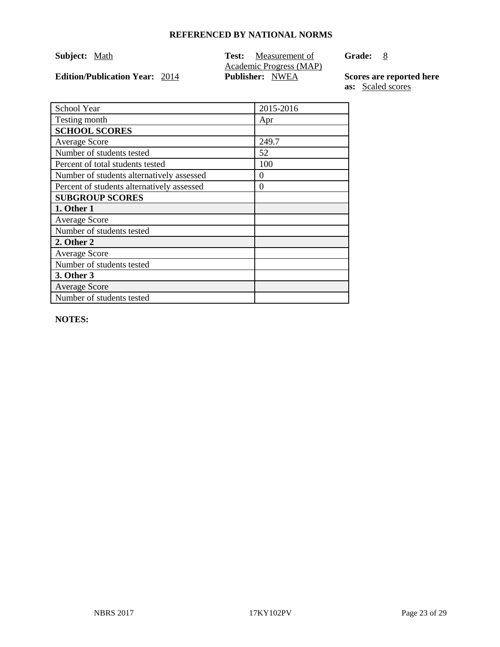**Edition/Publication Year:**  $2014$ 

**Subject:** <u>Math</u> **Test:** <u>Measurement of</u> Academic Progress (MAP)<br>Publisher: NWEA Grade: 8

**Scores are reported here**<br>**as:** <u>Scaled scores</u>

| School Year                                | 2015-2016 |
|--------------------------------------------|-----------|
| Testing month                              | Apr       |
| <b>SCHOOL SCORES</b>                       |           |
| <b>Average Score</b>                       | 249.7     |
| Number of students tested                  | 52        |
| Percent of total students tested           | 100       |
| Number of students alternatively assessed  | $\Omega$  |
| Percent of students alternatively assessed | $\theta$  |
| <b>SUBGROUP SCORES</b>                     |           |
| 1. Other 1                                 |           |
| <b>Average Score</b>                       |           |
| Number of students tested                  |           |
| 2. Other 2                                 |           |
| <b>Average Score</b>                       |           |
| Number of students tested                  |           |
| 3. Other 3                                 |           |
| <b>Average Score</b>                       |           |
| Number of students tested                  |           |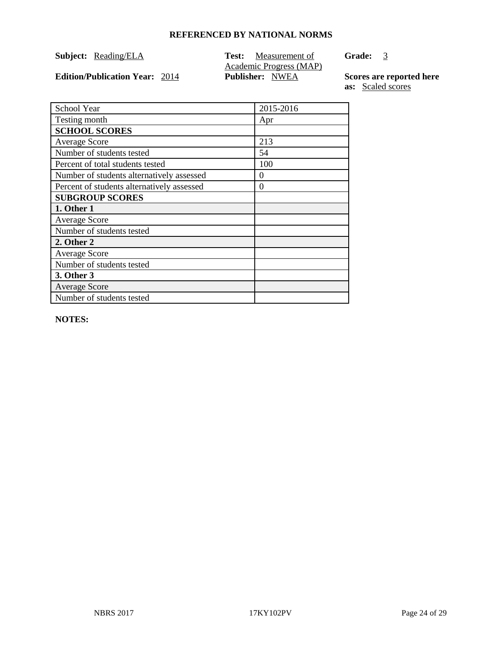**Subject: Reading/ELA Test: Measurement of** Academic Progress (MAP)<br>Publisher: NWEA **Edition/Publication Year:** 2014 **Publisher:** NWEA **Scores are reported here** 

**Grade:** 3

**as:** Scaled scores

| School Year                                | 2015-2016 |
|--------------------------------------------|-----------|
| Testing month                              | Apr       |
| <b>SCHOOL SCORES</b>                       |           |
| <b>Average Score</b>                       | 213       |
| Number of students tested                  | 54        |
| Percent of total students tested           | 100       |
| Number of students alternatively assessed  | $\theta$  |
| Percent of students alternatively assessed | $\Omega$  |
| <b>SUBGROUP SCORES</b>                     |           |
| 1. Other 1                                 |           |
| <b>Average Score</b>                       |           |
| Number of students tested                  |           |
| 2. Other 2                                 |           |
| Average Score                              |           |
| Number of students tested                  |           |
| 3. Other 3                                 |           |
| <b>Average Score</b>                       |           |
| Number of students tested                  |           |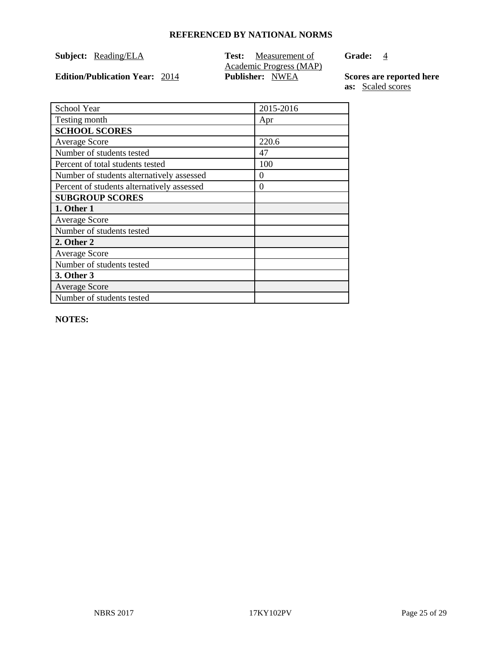**Edition/Publication Year:**  $2014$ 

**Subject: Reading/ELA Test: Measurement of** Academic Progress (MAP)<br>Publisher: NWEA Grade: 4

**Scores are reported here**<br>**as:** <u>Scaled scores</u>

| School Year                                | 2015-2016 |
|--------------------------------------------|-----------|
| Testing month                              | Apr       |
| <b>SCHOOL SCORES</b>                       |           |
| <b>Average Score</b>                       | 220.6     |
| Number of students tested                  | 47        |
| Percent of total students tested           | 100       |
| Number of students alternatively assessed  | $\Omega$  |
| Percent of students alternatively assessed | $\Omega$  |
| <b>SUBGROUP SCORES</b>                     |           |
| 1. Other 1                                 |           |
| <b>Average Score</b>                       |           |
| Number of students tested                  |           |
| 2. Other 2                                 |           |
| Average Score                              |           |
| Number of students tested                  |           |
| 3. Other 3                                 |           |
| <b>Average Score</b>                       |           |
| Number of students tested                  |           |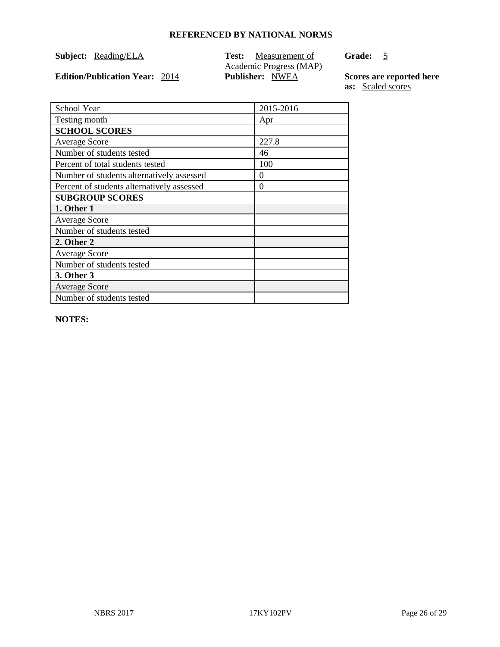**Subject: Reading/ELA Test: Measurement of** Academic Progress (MAP)<br>Publisher: NWEA **Edition/Publication Year:** 2014 **Publisher:** NWEA **Scores are reported here** 

Grade: 5

**as:** Scaled scores

| School Year                                | 2015-2016 |
|--------------------------------------------|-----------|
| Testing month                              | Apr       |
| <b>SCHOOL SCORES</b>                       |           |
| <b>Average Score</b>                       | 227.8     |
| Number of students tested                  | 46        |
| Percent of total students tested           | 100       |
| Number of students alternatively assessed  | $\theta$  |
| Percent of students alternatively assessed | $\Omega$  |
| <b>SUBGROUP SCORES</b>                     |           |
| 1. Other 1                                 |           |
| <b>Average Score</b>                       |           |
| Number of students tested                  |           |
| 2. Other 2                                 |           |
| <b>Average Score</b>                       |           |
| Number of students tested                  |           |
| 3. Other 3                                 |           |
| <b>Average Score</b>                       |           |
| Number of students tested                  |           |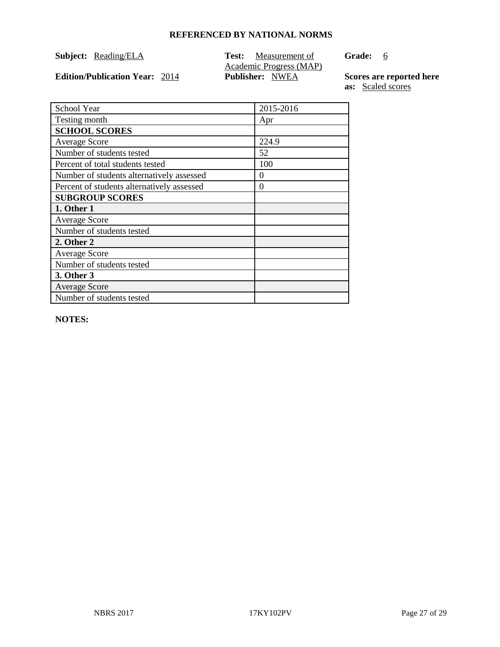**Subject: Reading/ELA Test: Measurement of** Academic Progress (MAP)<br>Publisher: NWEA **Grade:** 6

**Edition/Publication Year:**  $2014$ 

**Scores are reported here**<br>**as:** <u>Scaled scores</u>

| School Year                                | 2015-2016 |
|--------------------------------------------|-----------|
| Testing month                              | Apr       |
| <b>SCHOOL SCORES</b>                       |           |
| <b>Average Score</b>                       | 224.9     |
| Number of students tested                  | 52        |
| Percent of total students tested           | 100       |
| Number of students alternatively assessed  | $\theta$  |
| Percent of students alternatively assessed | $\Omega$  |
| <b>SUBGROUP SCORES</b>                     |           |
| 1. Other 1                                 |           |
| <b>Average Score</b>                       |           |
| Number of students tested                  |           |
| 2. Other 2                                 |           |
| <b>Average Score</b>                       |           |
| Number of students tested                  |           |
| 3. Other 3                                 |           |
| <b>Average Score</b>                       |           |
| Number of students tested                  |           |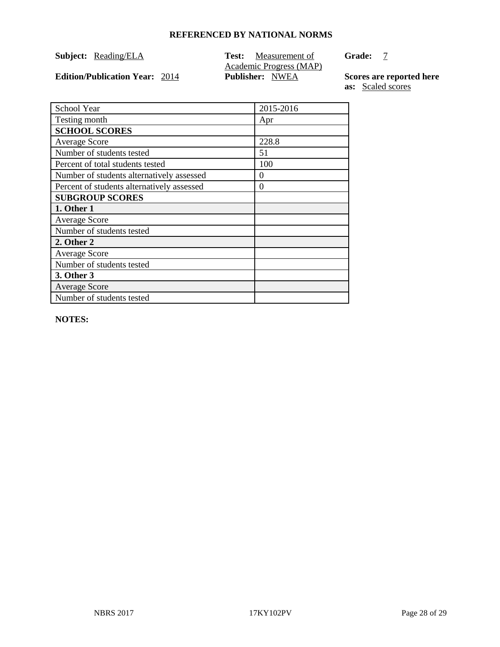**Subject: Reading/ELA Test: Measurement of** Academic Progress (MAP)<br>Publisher: NWEA **Grade:** 7

**Edition/Publication Year:**  $2014$ 

**Scores are reported here**<br>**as:** <u>Scaled scores</u>

| School Year                                | 2015-2016 |
|--------------------------------------------|-----------|
| Testing month                              | Apr       |
| <b>SCHOOL SCORES</b>                       |           |
| <b>Average Score</b>                       | 228.8     |
| Number of students tested                  | 51        |
| Percent of total students tested           | 100       |
| Number of students alternatively assessed  | $\theta$  |
| Percent of students alternatively assessed | $\theta$  |
| <b>SUBGROUP SCORES</b>                     |           |
| 1. Other 1                                 |           |
| <b>Average Score</b>                       |           |
| Number of students tested                  |           |
| 2. Other 2                                 |           |
| <b>Average Score</b>                       |           |
| Number of students tested                  |           |
| 3. Other 3                                 |           |
| <b>Average Score</b>                       |           |
| Number of students tested                  |           |